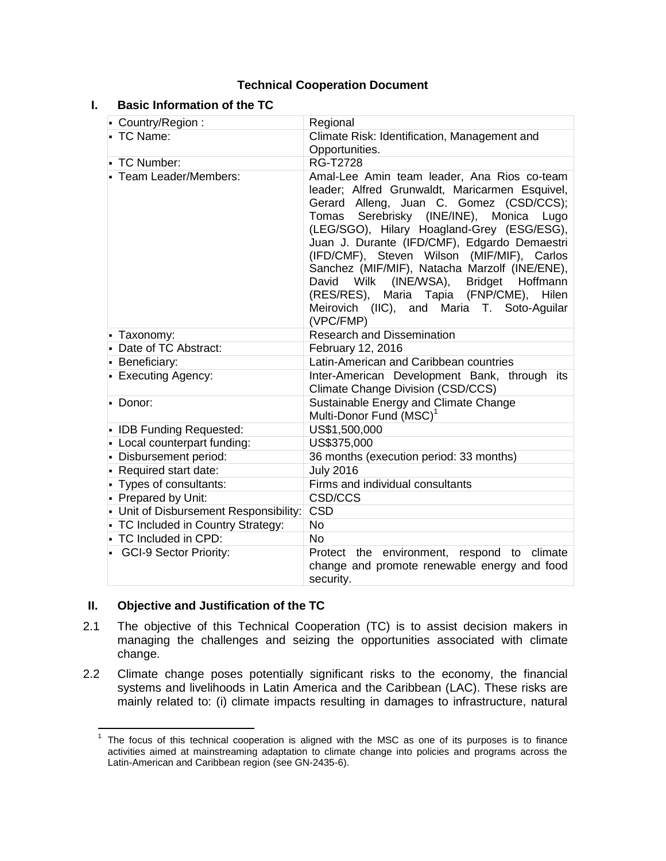## **Technical Cooperation Document**

## **I. Basic Information of the TC**

| - Country/Region:                      | Regional                                                                                                                                                                                                                                                                                                                                                                                                                                                                                                                                                  |  |  |  |  |
|----------------------------------------|-----------------------------------------------------------------------------------------------------------------------------------------------------------------------------------------------------------------------------------------------------------------------------------------------------------------------------------------------------------------------------------------------------------------------------------------------------------------------------------------------------------------------------------------------------------|--|--|--|--|
| • TC Name:                             | Climate Risk: Identification, Management and                                                                                                                                                                                                                                                                                                                                                                                                                                                                                                              |  |  |  |  |
|                                        | Opportunities.                                                                                                                                                                                                                                                                                                                                                                                                                                                                                                                                            |  |  |  |  |
| - TC Number:                           | <b>RG-T2728</b>                                                                                                                                                                                                                                                                                                                                                                                                                                                                                                                                           |  |  |  |  |
| • Team Leader/Members:                 | Amal-Lee Amin team leader, Ana Rios co-team<br>leader; Alfred Grunwaldt, Maricarmen Esquivel,<br>Gerard Alleng, Juan C. Gomez (CSD/CCS);<br>Serebrisky (INE/INE),<br>Tomas<br>Monica<br>Lugo<br>(LEG/SGO), Hilary Hoagland-Grey (ESG/ESG),<br>Juan J. Durante (IFD/CMF), Edgardo Demaestri<br>(IFD/CMF), Steven Wilson (MIF/MIF), Carlos<br>Sanchez (MIF/MIF), Natacha Marzolf (INE/ENE),<br>(INE/WSA),<br><b>Bridget</b><br>David Wilk<br>Hoffmann<br>(RES/RES), Maria Tapia (FNP/CME), Hilen<br>Meirovich (IIC), and Maria T. Soto-Aguilar<br>(VPC/FMP) |  |  |  |  |
| - Taxonomy:                            | <b>Research and Dissemination</b>                                                                                                                                                                                                                                                                                                                                                                                                                                                                                                                         |  |  |  |  |
| - Date of TC Abstract:                 | February 12, 2016                                                                                                                                                                                                                                                                                                                                                                                                                                                                                                                                         |  |  |  |  |
| - Beneficiary:                         | Latin-American and Caribbean countries                                                                                                                                                                                                                                                                                                                                                                                                                                                                                                                    |  |  |  |  |
| - Executing Agency:                    | Inter-American Development Bank, through its<br>Climate Change Division (CSD/CCS)                                                                                                                                                                                                                                                                                                                                                                                                                                                                         |  |  |  |  |
| $\blacksquare$ Donor:                  | Sustainable Energy and Climate Change<br>Multi-Donor Fund (MSC) <sup>1</sup>                                                                                                                                                                                                                                                                                                                                                                                                                                                                              |  |  |  |  |
| • IDB Funding Requested:               | US\$1,500,000                                                                                                                                                                                                                                                                                                                                                                                                                                                                                                                                             |  |  |  |  |
| - Local counterpart funding:           | US\$375,000                                                                                                                                                                                                                                                                                                                                                                                                                                                                                                                                               |  |  |  |  |
| - Disbursement period:                 | 36 months (execution period: 33 months)                                                                                                                                                                                                                                                                                                                                                                                                                                                                                                                   |  |  |  |  |
| - Required start date:                 | <b>July 2016</b>                                                                                                                                                                                                                                                                                                                                                                                                                                                                                                                                          |  |  |  |  |
| - Types of consultants:                | Firms and individual consultants                                                                                                                                                                                                                                                                                                                                                                                                                                                                                                                          |  |  |  |  |
| - Prepared by Unit:                    | CSD/CCS                                                                                                                                                                                                                                                                                                                                                                                                                                                                                                                                                   |  |  |  |  |
| - Unit of Disbursement Responsibility: | <b>CSD</b>                                                                                                                                                                                                                                                                                                                                                                                                                                                                                                                                                |  |  |  |  |
| - TC Included in Country Strategy:     | <b>No</b>                                                                                                                                                                                                                                                                                                                                                                                                                                                                                                                                                 |  |  |  |  |
| - TC Included in CPD:                  | <b>No</b>                                                                                                                                                                                                                                                                                                                                                                                                                                                                                                                                                 |  |  |  |  |
| • GCI-9 Sector Priority:               | Protect the environment, respond to climate<br>change and promote renewable energy and food<br>security.                                                                                                                                                                                                                                                                                                                                                                                                                                                  |  |  |  |  |

## **II. Objective and Justification of the TC**

- 2.1 The objective of this Technical Cooperation (TC) is to assist decision makers in managing the challenges and seizing the opportunities associated with climate change.
- 2.2 Climate change poses potentially significant risks to the economy, the financial systems and livelihoods in Latin America and the Caribbean (LAC). These risks are mainly related to: (i) climate impacts resulting in damages to infrastructure, natural

<sup>|&</sup>lt;br>1 The focus of this technical cooperation is aligned with the MSC as one of its purposes is to finance activities aimed at mainstreaming adaptation to climate change into policies and programs across the Latin-American and Caribbean region (see GN-2435-6).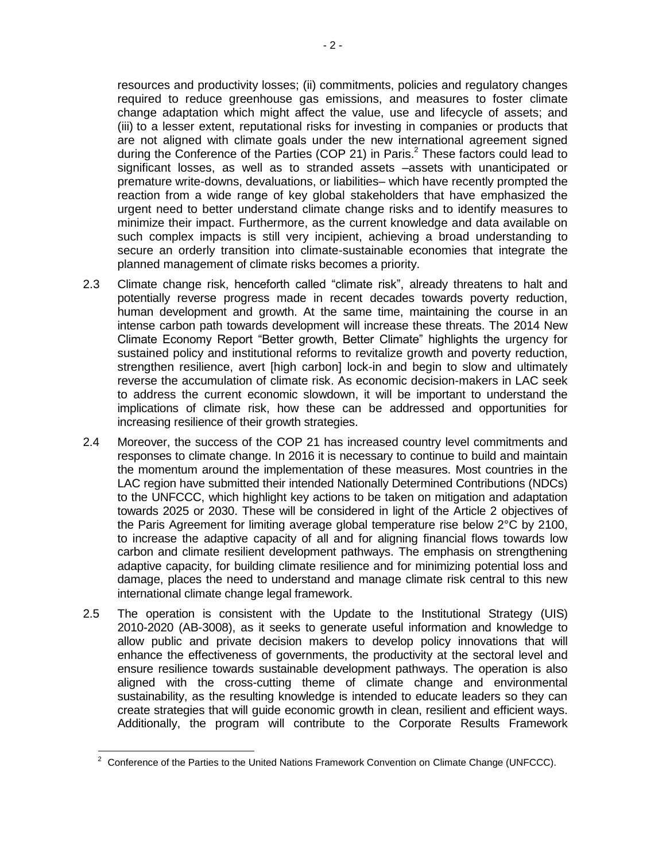resources and productivity losses; (ii) commitments, policies and regulatory changes required to reduce greenhouse gas emissions, and measures to foster climate change adaptation which might affect the value, use and lifecycle of assets; and (iii) to a lesser extent, reputational risks for investing in companies or products that are not aligned with climate goals under the new international agreement signed during the Conference of the Parties (COP 21) in Paris.<sup>2</sup> These factors could lead to significant losses, as well as to stranded assets –assets with unanticipated or premature write-downs, devaluations, or liabilities– which have recently prompted the reaction from a wide range of key global stakeholders that have emphasized the urgent need to better understand climate change risks and to identify measures to minimize their impact. Furthermore, as the current knowledge and data available on such complex impacts is still very incipient, achieving a broad understanding to secure an orderly transition into climate-sustainable economies that integrate the planned management of climate risks becomes a priority.

- 2.3 Climate change risk, henceforth called "climate risk", already threatens to halt and potentially reverse progress made in recent decades towards poverty reduction, human development and growth. At the same time, maintaining the course in an intense carbon path towards development will increase these threats. The 2014 New Climate Economy Report "Better growth, Better Climate" highlights the urgency for sustained policy and institutional reforms to revitalize growth and poverty reduction, strengthen resilience, avert [high carbon] lock-in and begin to slow and ultimately reverse the accumulation of climate risk. As economic decision-makers in LAC seek to address the current economic slowdown, it will be important to understand the implications of climate risk, how these can be addressed and opportunities for increasing resilience of their growth strategies.
- 2.4 Moreover, the success of the COP 21 has increased country level commitments and responses to climate change. In 2016 it is necessary to continue to build and maintain the momentum around the implementation of these measures. Most countries in the LAC region have submitted their intended Nationally Determined Contributions (NDCs) to the UNFCCC, which highlight key actions to be taken on mitigation and adaptation towards 2025 or 2030. These will be considered in light of the Article 2 objectives of the Paris Agreement for limiting average global temperature rise below 2°C by 2100, to increase the adaptive capacity of all and for aligning financial flows towards low carbon and climate resilient development pathways. The emphasis on strengthening adaptive capacity, for building climate resilience and for minimizing potential loss and damage, places the need to understand and manage climate risk central to this new international climate change legal framework.
- 2.5 The operation is consistent with the Update to the Institutional Strategy (UIS) 2010-2020 (AB-3008), as it seeks to generate useful information and knowledge to allow public and private decision makers to develop policy innovations that will enhance the effectiveness of governments, the productivity at the sectoral level and ensure resilience towards sustainable development pathways. The operation is also aligned with the cross-cutting theme of climate change and environmental sustainability, as the resulting knowledge is intended to educate leaders so they can create strategies that will guide economic growth in clean, resilient and efficient ways. Additionally, the program will contribute to the Corporate Results Framework

 $\overline{\phantom{a}}$  $2$  Conference of the Parties to the United Nations Framework Convention on Climate Change (UNFCCC).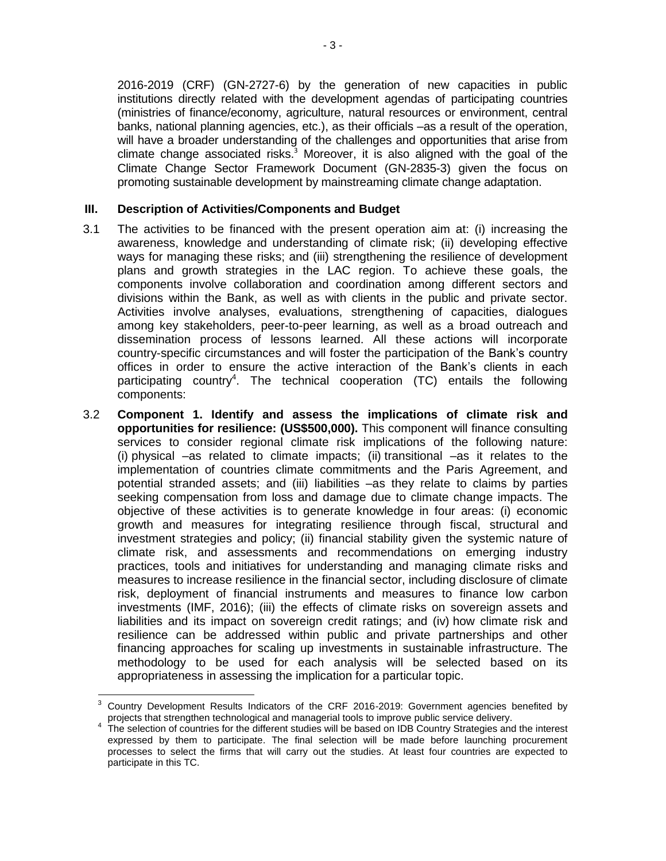2016-2019 (CRF) (GN-2727-6) by the generation of new capacities in public institutions directly related with the development agendas of participating countries (ministries of finance/economy, agriculture, natural resources or environment, central banks, national planning agencies, etc.), as their officials –as a result of the operation, will have a broader understanding of the challenges and opportunities that arise from climate change associated risks.<sup>3</sup> Moreover, it is also aligned with the goal of the Climate Change Sector Framework Document (GN-2835-3) given the focus on promoting sustainable development by mainstreaming climate change adaptation.

### **III. Description of Activities/Components and Budget**

- 3.1 The activities to be financed with the present operation aim at: (i) increasing the awareness, knowledge and understanding of climate risk; (ii) developing effective ways for managing these risks; and (iii) strengthening the resilience of development plans and growth strategies in the LAC region. To achieve these goals, the components involve collaboration and coordination among different sectors and divisions within the Bank, as well as with clients in the public and private sector. Activities involve analyses, evaluations, strengthening of capacities, dialogues among key stakeholders, peer-to-peer learning, as well as a broad outreach and dissemination process of lessons learned. All these actions will incorporate country-specific circumstances and will foster the participation of the Bank's country offices in order to ensure the active interaction of the Bank's clients in each participating country<sup>4</sup>. The technical cooperation (TC) entails the following components:
- 3.2 **Component 1. Identify and assess the implications of climate risk and opportunities for resilience: (US\$500,000).** This component will finance consulting services to consider regional climate risk implications of the following nature: (i) physical –as related to climate impacts; (ii) transitional –as it relates to the implementation of countries climate commitments and the Paris Agreement, and potential stranded assets; and (iii) liabilities –as they relate to claims by parties seeking compensation from loss and damage due to climate change impacts. The objective of these activities is to generate knowledge in four areas: (i) economic growth and measures for integrating resilience through fiscal, structural and investment strategies and policy; (ii) financial stability given the systemic nature of climate risk, and assessments and recommendations on emerging industry practices, tools and initiatives for understanding and managing climate risks and measures to increase resilience in the financial sector, including disclosure of climate risk, deployment of financial instruments and measures to finance low carbon investments (IMF, 2016); (iii) the effects of climate risks on sovereign assets and liabilities and its impact on sovereign credit ratings; and (iv) how climate risk and resilience can be addressed within public and private partnerships and other financing approaches for scaling up investments in sustainable infrastructure. The methodology to be used for each analysis will be selected based on its appropriateness in assessing the implication for a particular topic.

 $\overline{a}$ <sup>3</sup> Country Development Results Indicators of the CRF 2016-2019: Government agencies benefited by projects that strengthen technological and managerial tools to improve public service delivery.

<sup>4</sup> The selection of countries for the different studies will be based on IDB Country Strategies and the interest expressed by them to participate. The final selection will be made before launching procurement processes to select the firms that will carry out the studies. At least four countries are expected to participate in this TC.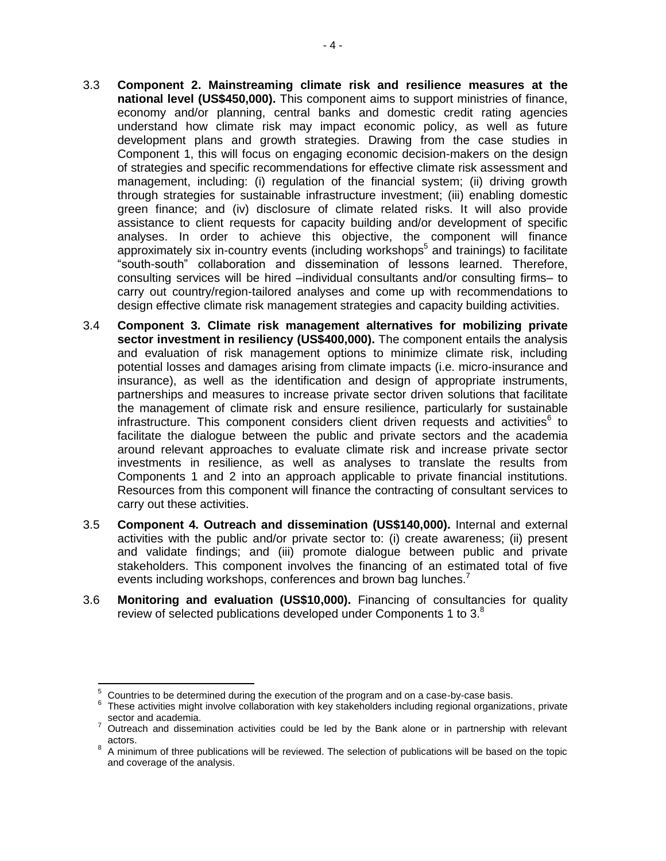- 3.3 **Component 2. Mainstreaming climate risk and resilience measures at the national level (US\$450,000).** This component aims to support ministries of finance, economy and/or planning, central banks and domestic credit rating agencies understand how climate risk may impact economic policy, as well as future development plans and growth strategies. Drawing from the case studies in Component 1, this will focus on engaging economic decision-makers on the design of strategies and specific recommendations for effective climate risk assessment and management, including: (i) regulation of the financial system; (ii) driving growth through strategies for sustainable infrastructure investment; (iii) enabling domestic green finance; and (iv) disclosure of climate related risks. It will also provide assistance to client requests for capacity building and/or development of specific analyses. In order to achieve this objective, the component will finance approximately six in-country events (including workshops<sup>5</sup> and trainings) to facilitate "south-south" collaboration and dissemination of lessons learned. Therefore, consulting services will be hired –individual consultants and/or consulting firms– to carry out country/region-tailored analyses and come up with recommendations to design effective climate risk management strategies and capacity building activities.
- 3.4 **Component 3. Climate risk management alternatives for mobilizing private sector investment in resiliency (US\$400,000).** The component entails the analysis and evaluation of risk management options to minimize climate risk, including potential losses and damages arising from climate impacts (i.e. micro-insurance and insurance), as well as the identification and design of appropriate instruments, partnerships and measures to increase private sector driven solutions that facilitate the management of climate risk and ensure resilience, particularly for sustainable infrastructure. This component considers client driven requests and activities $^6$  to facilitate the dialogue between the public and private sectors and the academia around relevant approaches to evaluate climate risk and increase private sector investments in resilience, as well as analyses to translate the results from Components 1 and 2 into an approach applicable to private financial institutions. Resources from this component will finance the contracting of consultant services to carry out these activities.
- 3.5 **Component 4. Outreach and dissemination (US\$140,000).** Internal and external activities with the public and/or private sector to: (i) create awareness; (ii) present and validate findings; and (iii) promote dialogue between public and private stakeholders. This component involves the financing of an estimated total of five events including workshops, conferences and brown bag lunches.<sup>7</sup>
- 3.6 **Monitoring and evaluation (US\$10,000).** Financing of consultancies for quality review of selected publications developed under Components 1 to  $3.8$

 $\overline{\phantom{a}}$ 

<sup>5</sup> Countries to be determined during the execution of the program and on a case-by-case basis.

<sup>6</sup> These activities might involve collaboration with key stakeholders including regional organizations, private sector and academia.

<sup>7</sup> Outreach and dissemination activities could be led by the Bank alone or in partnership with relevant actors.

 $8$  A minimum of three publications will be reviewed. The selection of publications will be based on the topic and coverage of the analysis.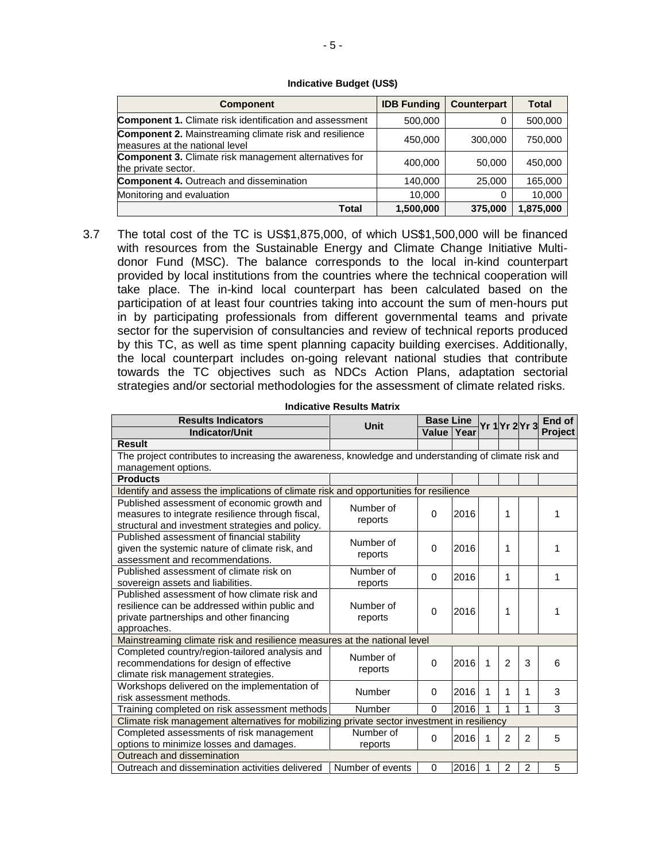#### **Indicative Budget (US\$)**

| <b>Component</b>                                                                                | <b>IDB Funding</b> | <b>Counterpart</b> | Total     |  |
|-------------------------------------------------------------------------------------------------|--------------------|--------------------|-----------|--|
| <b>Component 1.</b> Climate risk identification and assessment                                  | 500,000            | 0                  | 500,000   |  |
| <b>Component 2. Mainstreaming climate risk and resilience</b><br>measures at the national level | 450,000            | 300,000            | 750,000   |  |
| <b>Component 3.</b> Climate risk management alternatives for<br>the private sector.             | 400,000            | 50,000             | 450,000   |  |
| <b>Component 4. Outreach and dissemination</b>                                                  | 140,000            | 25,000             | 165,000   |  |
| Monitoring and evaluation                                                                       | 10,000             | 0                  | 10,000    |  |
| Total                                                                                           | 1,500,000          | 375,000            | 1,875,000 |  |

3.7 The total cost of the TC is US\$1,875,000, of which US\$1,500,000 will be financed with resources from the Sustainable Energy and Climate Change Initiative Multidonor Fund (MSC). The balance corresponds to the local in-kind counterpart provided by local institutions from the countries where the technical cooperation will take place. The in-kind local counterpart has been calculated based on the participation of at least four countries taking into account the sum of men-hours put in by participating professionals from different governmental teams and private sector for the supervision of consultancies and review of technical reports produced by this TC, as well as time spent planning capacity building exercises. Additionally, the local counterpart includes on-going relevant national studies that contribute towards the TC objectives such as NDCs Action Plans, adaptation sectorial strategies and/or sectorial methodologies for the assessment of climate related risks.

| <b>Results Indicators</b>                                                                            | Unit             | <b>Base Line</b> |      |   |                | Yr 1 Yr 2 Yr 3 | End of         |  |  |  |
|------------------------------------------------------------------------------------------------------|------------------|------------------|------|---|----------------|----------------|----------------|--|--|--|
| <b>Indicator/Unit</b>                                                                                |                  | Value            | Year |   |                |                | <b>Project</b> |  |  |  |
| <b>Result</b>                                                                                        |                  |                  |      |   |                |                |                |  |  |  |
| The project contributes to increasing the awareness, knowledge and understanding of climate risk and |                  |                  |      |   |                |                |                |  |  |  |
| management options.                                                                                  |                  |                  |      |   |                |                |                |  |  |  |
| <b>Products</b>                                                                                      |                  |                  |      |   |                |                |                |  |  |  |
| Identify and assess the implications of climate risk and opportunities for resilience                |                  |                  |      |   |                |                |                |  |  |  |
| Published assessment of economic growth and                                                          | Number of        | $\Omega$         | 2016 |   | 1              |                | 1              |  |  |  |
| measures to integrate resilience through fiscal,                                                     | reports          |                  |      |   |                |                |                |  |  |  |
| structural and investment strategies and policy.                                                     |                  |                  |      |   |                |                |                |  |  |  |
| Published assessment of financial stability                                                          | Number of        | 0                | 2016 |   | 1              |                | 1              |  |  |  |
| given the systemic nature of climate risk, and                                                       | reports          |                  |      |   |                |                |                |  |  |  |
| assessment and recommendations.                                                                      |                  |                  |      |   |                |                |                |  |  |  |
| Published assessment of climate risk on                                                              | Number of        | $\Omega$         | 2016 |   | 1              |                | 1              |  |  |  |
| sovereign assets and liabilities.                                                                    | reports          |                  |      |   |                |                |                |  |  |  |
| Published assessment of how climate risk and<br>resilience can be addressed within public and        | Number of        | $\Omega$         | 2016 |   | 1              |                | 1              |  |  |  |
| private partnerships and other financing                                                             | reports          |                  |      |   |                |                |                |  |  |  |
| approaches.                                                                                          |                  |                  |      |   |                |                |                |  |  |  |
| Mainstreaming climate risk and resilience measures at the national level                             |                  |                  |      |   |                |                |                |  |  |  |
| Completed country/region-tailored analysis and                                                       |                  |                  |      |   |                |                |                |  |  |  |
| recommendations for design of effective                                                              | Number of        | $\Omega$         | 2016 | 1 | $\overline{2}$ | 3              | 6              |  |  |  |
| climate risk management strategies.                                                                  | reports          |                  |      |   |                |                |                |  |  |  |
| Workshops delivered on the implementation of                                                         |                  |                  |      |   |                |                |                |  |  |  |
| risk assessment methods.                                                                             | Number           | $\Omega$         | 2016 | 1 | 1              | 1              | 3              |  |  |  |
| Training completed on risk assessment methods                                                        | Number           | $\Omega$         | 2016 | 1 | 1              | 1              | 3              |  |  |  |
| Climate risk management alternatives for mobilizing private sector investment in resiliency          |                  |                  |      |   |                |                |                |  |  |  |
| Completed assessments of risk management                                                             | Number of        |                  |      |   |                |                |                |  |  |  |
| options to minimize losses and damages.                                                              | reports          | 0                | 2016 | 1 | $\overline{2}$ | 2              | 5              |  |  |  |
| Outreach and dissemination                                                                           |                  |                  |      |   |                |                |                |  |  |  |
| Outreach and dissemination activities delivered                                                      | Number of events | $\Omega$         | 2016 | 1 | 2              | 2              | 5              |  |  |  |

**Indicative Results Matrix**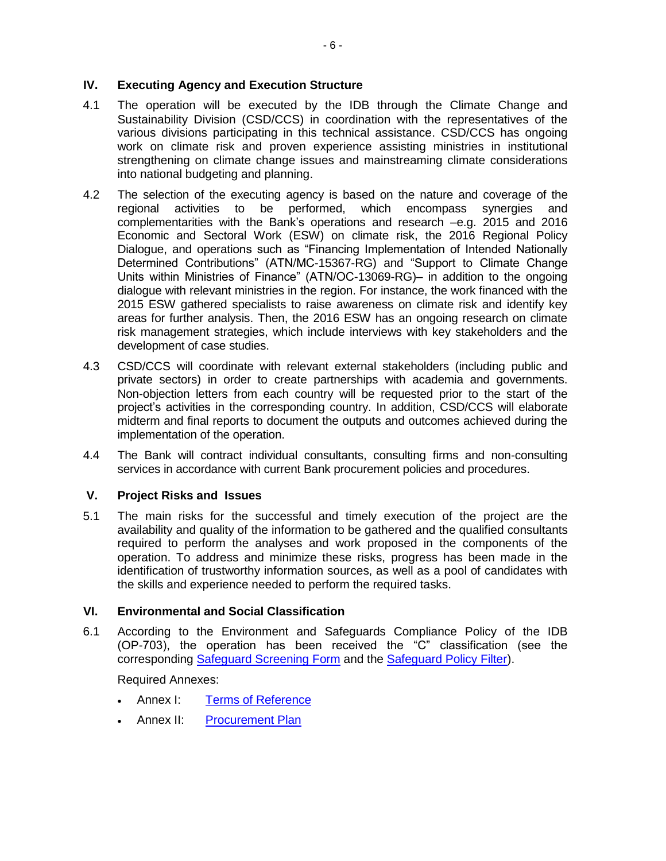## **IV. Executing Agency and Execution Structure**

- 4.1 The operation will be executed by the IDB through the Climate Change and Sustainability Division (CSD/CCS) in coordination with the representatives of the various divisions participating in this technical assistance. CSD/CCS has ongoing work on climate risk and proven experience assisting ministries in institutional strengthening on climate change issues and mainstreaming climate considerations into national budgeting and planning.
- 4.2 The selection of the executing agency is based on the nature and coverage of the regional activities to be performed, which encompass synergies and complementarities with the Bank's operations and research –e.g. 2015 and 2016 Economic and Sectoral Work (ESW) on climate risk, the 2016 Regional Policy Dialogue, and operations such as "Financing Implementation of Intended Nationally Determined Contributions" (ATN/MC-15367-RG) and "Support to Climate Change Units within Ministries of Finance" (ATN/OC-13069-RG)– in addition to the ongoing dialogue with relevant ministries in the region. For instance, the work financed with the 2015 ESW gathered specialists to raise awareness on climate risk and identify key areas for further analysis. Then, the 2016 ESW has an ongoing research on climate risk management strategies, which include interviews with key stakeholders and the development of case studies.
- 4.3 CSD/CCS will coordinate with relevant external stakeholders (including public and private sectors) in order to create partnerships with academia and governments. Non-objection letters from each country will be requested prior to the start of the project's activities in the corresponding country. In addition, CSD/CCS will elaborate midterm and final reports to document the outputs and outcomes achieved during the implementation of the operation.
- 4.4 The Bank will contract individual consultants, consulting firms and non-consulting services in accordance with current Bank procurement policies and procedures.

## **V. Project Risks and Issues**

5.1 The main risks for the successful and timely execution of the project are the availability and quality of the information to be gathered and the qualified consultants required to perform the analyses and work proposed in the components of the operation. To address and minimize these risks, progress has been made in the identification of trustworthy information sources, as well as a pool of candidates with the skills and experience needed to perform the required tasks.

### **VI. Environmental and Social Classification**

6.1 According to the Environment and Safeguards Compliance Policy of the IDB (OP-703), the operation has been received the "C" classification (see the corresponding [Safeguard Screening Form](http://idbdocs.iadb.org/wsdocs/getDocument.aspx?DOCNUM=40355523) and the [Safeguard Policy Filter\)](http://idbdocs.iadb.org/wsdocs/getDocument.aspx?DOCNUM=40355522).

Required Annexes:

- Annex I: [Terms of Reference](http://idbdocs.iadb.org/wsdocs/getDocument.aspx?DOCNUM=40382973)
- Annex II: [Procurement Plan](http://idbdocs.iadb.org/wsdocs/getDocument.aspx?DOCNUM=40382599)